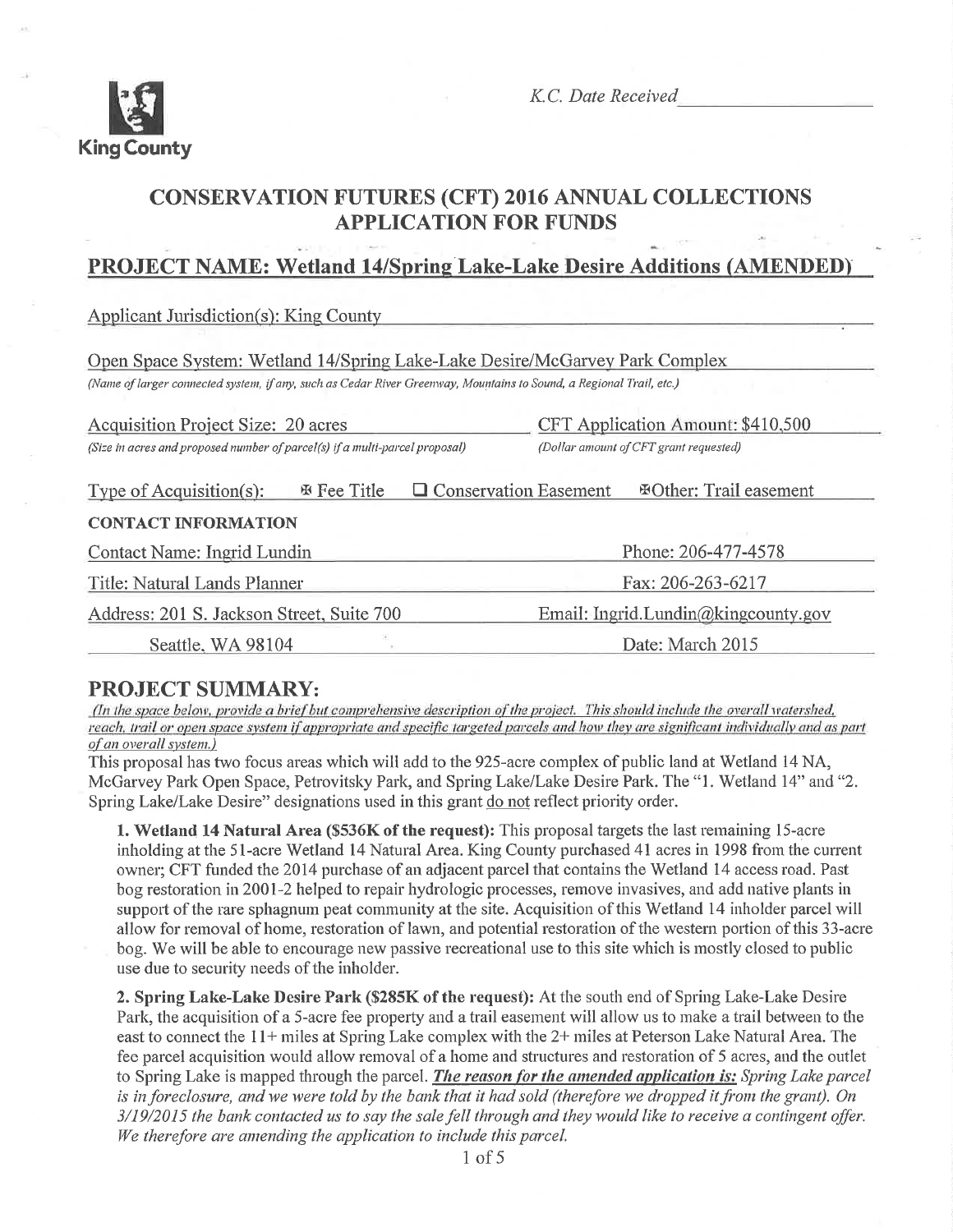

K.C. Date Received

# **CONSERVATION FUTURES (CFT) 2016 ANNUAL COLLECTIONS APPLICATION FOR FUNDS**

## **PROJECT NAME: Wetland 14/Spring Lake-Lake Desire Additions (AMENDED)**

**Applicant Jurisdiction(s): King County** 

| Open Space System: Wetland 14/Spring Lake-Lake Desire/McGarvey Park Complex                                         |                                        |  |  |  |  |
|---------------------------------------------------------------------------------------------------------------------|----------------------------------------|--|--|--|--|
| (Name of larger connected system, if any, such as Cedar River Greenway, Mountains to Sound, a Regional Trail, etc.) |                                        |  |  |  |  |
|                                                                                                                     |                                        |  |  |  |  |
| <b>Acquisition Project Size: 20 acres</b>                                                                           | CFT Application Amount: \$410,500      |  |  |  |  |
| (Size in acres and proposed number of parcel(s) if a multi-parcel proposal)                                         | (Dollar amount of CFT grant requested) |  |  |  |  |
| $\Box$ Conservation Easement<br><b>EOther: Trail easement</b><br>Type of Acquisition(s):<br><b>E</b> Fee Title      |                                        |  |  |  |  |
| <b>CONTACT INFORMATION</b>                                                                                          |                                        |  |  |  |  |
| Contact Name: Ingrid Lundin                                                                                         | Phone: 206-477-4578                    |  |  |  |  |
| Title: Natural Lands Planner                                                                                        | Fax: 206-263-6217                      |  |  |  |  |
| Address: 201 S. Jackson Street, Suite 700                                                                           | Email: Ingrid.Lundin@kingcounty.gov    |  |  |  |  |
| Seattle, WA 98104                                                                                                   | Date: March 2015                       |  |  |  |  |

## **PROJECT SUMMARY:**

(In the space below, provide a brief but comprehensive description of the project. This should include the overall watershed, reach, trail or open space system if appropriate and specific targeted parcels and how they are significant individually and as part of an overall system.)

This proposal has two focus areas which will add to the 925-acre complex of public land at Wetland 14 NA, McGarvey Park Open Space, Petrovitsky Park, and Spring Lake/Lake Desire Park. The "1. Wetland 14" and "2. Spring Lake/Lake Desire" designations used in this grant do not reflect priority order.

1. Wetland 14 Natural Area (\$536K of the request): This proposal targets the last remaining 15-acre inholding at the 51-acre Wetland 14 Natural Area. King County purchased 41 acres in 1998 from the current owner; CFT funded the 2014 purchase of an adjacent parcel that contains the Wetland 14 access road. Past bog restoration in 2001-2 helped to repair hydrologic processes, remove invasives, and add native plants in support of the rare sphagnum peat community at the site. Acquisition of this Wetland 14 inholder parcel will allow for removal of home, restoration of lawn, and potential restoration of the western portion of this 33-acre bog. We will be able to encourage new passive recreational use to this site which is mostly closed to public use due to security needs of the inholder.

2. Spring Lake-Lake Desire Park (\$285K of the request): At the south end of Spring Lake-Lake Desire Park, the acquisition of a 5-acre fee property and a trail easement will allow us to make a trail between to the east to connect the 11+ miles at Spring Lake complex with the 2+ miles at Peterson Lake Natural Area. The fee parcel acquisition would allow removal of a home and structures and restoration of 5 acres, and the outlet to Spring Lake is mapped through the parcel. *The reason for the amended application is: Spring Lake parcel* is in foreclosure, and we were told by the bank that it had sold (therefore we dropped it from the grant). On 3/19/2015 the bank contacted us to say the sale fell through and they would like to receive a contingent offer. We therefore are amending the application to include this parcel.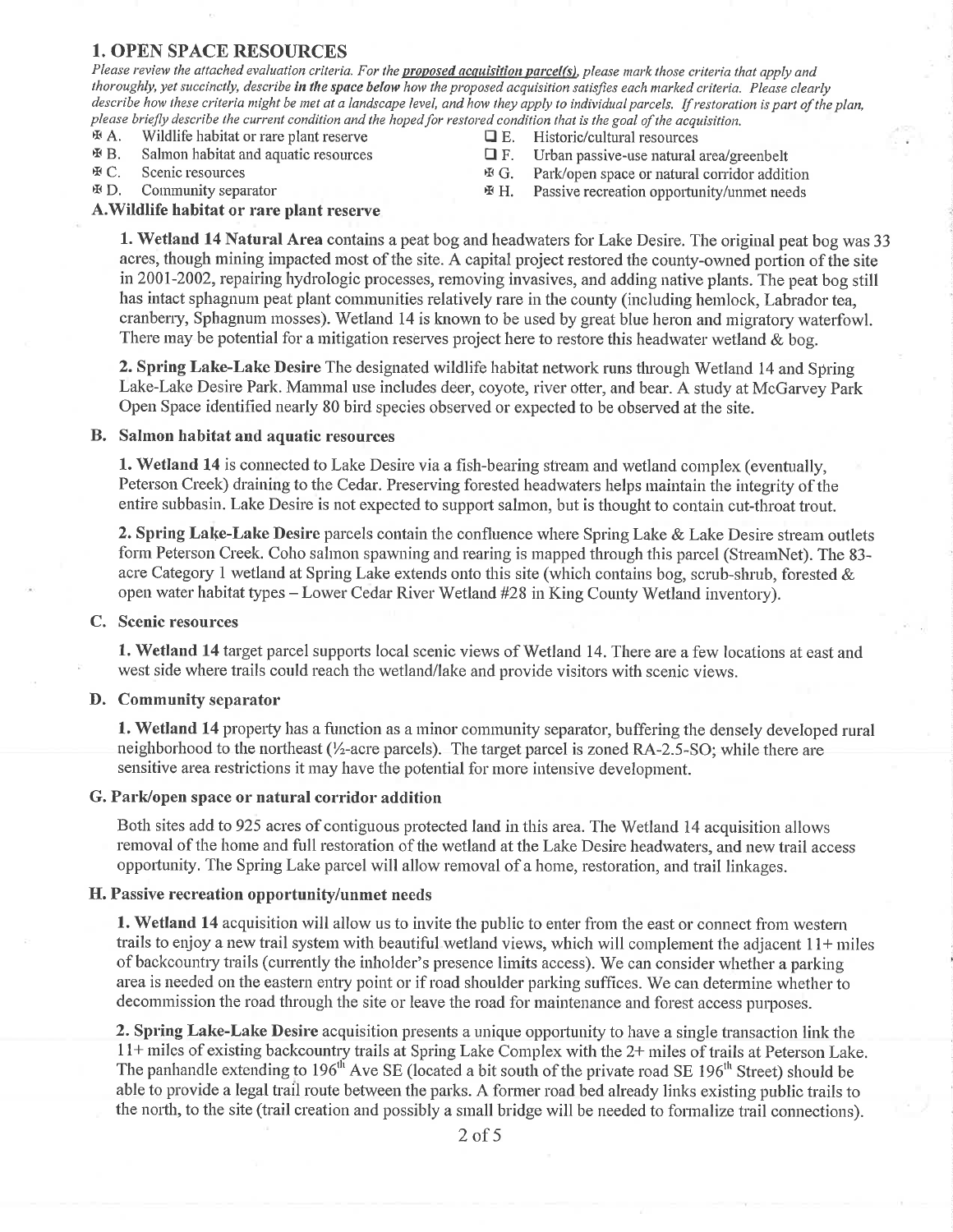### **1. OPEN SPACE RESOURCES**

Please review the attached evaluation criteria. For the proposed acquisition parcel(s), please mark those criteria that apply and thoroughly, yet succinctly, describe in the space below how the proposed acquisition satisfies each marked criteria. Please clearly describe how these criteria might be met at a landscape level, and how they apply to individual parcels. If restoration is part of the plan, please briefly describe the current condition and the hoped for restored condition that is the goal of the acquisition.

- **HA.** Wildlife habitat or rare plant reserve
- HΒ. Salmon habitat and aquatic resources

Community separator

田C. Scenic resources

⊕Đ.

- $\Box$  E. Historic/cultural resources
- $\Box$  F. Urban passive-use natural area/greenbelt
- **⊕G.** Park/open space or natural corridor addition
- **亚H.** Passive recreation opportunity/unmet needs

#### A. Wildlife habitat or rare plant reserve

1. Wetland 14 Natural Area contains a peat bog and headwaters for Lake Desire. The original peat bog was 33 acres, though mining impacted most of the site. A capital project restored the county-owned portion of the site in 2001-2002, repairing hydrologic processes, removing invasives, and adding native plants. The peat bog still has intact sphagnum peat plant communities relatively rare in the county (including hemlock, Labrador tea, cranberry, Sphagnum mosses). Wetland 14 is known to be used by great blue heron and migratory waterfowl. There may be potential for a mitigation reserves project here to restore this headwater wetland  $\&$  bog.

2. Spring Lake-Lake Desire The designated wildlife habitat network runs through Wetland 14 and Spring Lake-Lake Desire Park. Mammal use includes deer, coyote, river otter, and bear. A study at McGarvey Park Open Space identified nearly 80 bird species observed or expected to be observed at the site.

#### B. Salmon habitat and aquatic resources

**1. Wetland 14** is connected to Lake Desire via a fish-bearing stream and wetland complex (eventually, Peterson Creek) draining to the Cedar. Preserving forested headwaters helps maintain the integrity of the entire subbasin. Lake Desire is not expected to support salmon, but is thought to contain cut-throat trout.

2. Spring Lake-Lake Desire parcels contain the confluence where Spring Lake & Lake Desire stream outlets form Peterson Creek. Coho salmon spawning and rearing is mapped through this parcel (StreamNet). The 83acre Category 1 wetland at Spring Lake extends onto this site (which contains bog, scrub-shrub, forested & open water habitat types – Lower Cedar River Wetland #28 in King County Wetland inventory).

#### C. Scenic resources

1. Wetland 14 target parcel supports local scenic views of Wetland 14. There are a few locations at east and west side where trails could reach the wetland/lake and provide visitors with scenic views.

#### D. Community separator

1. Wetland 14 property has a function as a minor community separator, buffering the densely developed rural neighborhood to the northeast (1/2-acre parcels). The target parcel is zoned RA-2.5-SO; while there are sensitive area restrictions it may have the potential for more intensive development.

#### G. Park/open space or natural corridor addition

Both sites add to 925 acres of contiguous protected land in this area. The Wetland 14 acquisition allows removal of the home and full restoration of the wetland at the Lake Desire headwaters, and new trail access opportunity. The Spring Lake parcel will allow removal of a home, restoration, and trail linkages.

#### H. Passive recreation opportunity/unmet needs

1. Wetland 14 acquisition will allow us to invite the public to enter from the east or connect from western trails to enjoy a new trail system with beautiful wetland views, which will complement the adjacent 11+ miles of backcountry trails (currently the inholder's presence limits access). We can consider whether a parking area is needed on the eastern entry point or if road shoulder parking suffices. We can determine whether to decommission the road through the site or leave the road for maintenance and forest access purposes.

2. Spring Lake-Lake Desire acquisition presents a unique opportunity to have a single transaction link the 11+ miles of existing backcountry trails at Spring Lake Complex with the 2+ miles of trails at Peterson Lake. The panhandle extending to 196<sup>th</sup> Ave SE (located a bit south of the private road SE 196<sup>th</sup> Street) should be able to provide a legal trail route between the parks. A former road bed already links existing public trails to the north, to the site (trail creation and possibly a small bridge will be needed to formalize trail connections).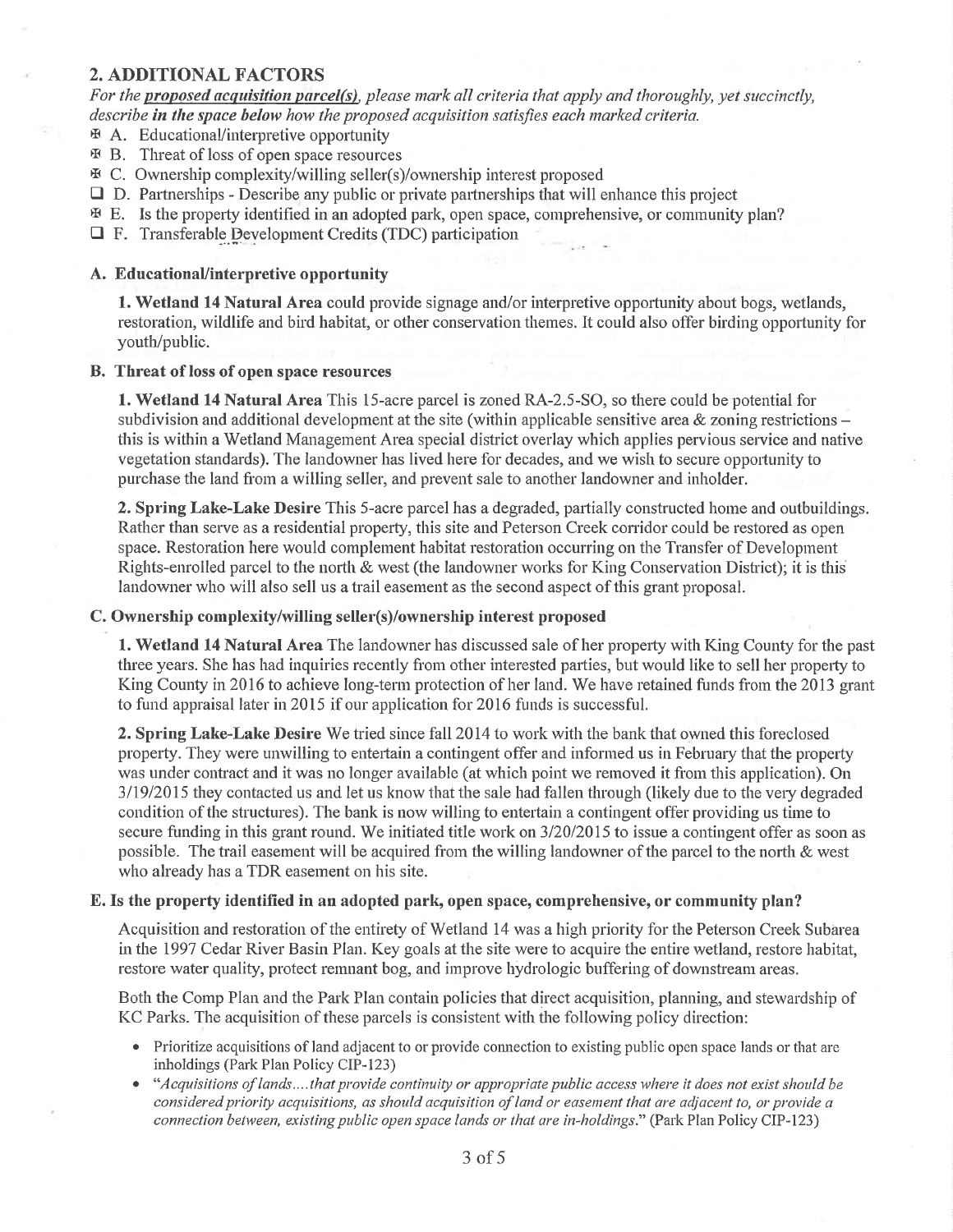#### 2. ADDITIONAL FACTORS

For the proposed acquisition parcel(s), please mark all criteria that apply and thoroughly, yet succinctly, describe in the space below how the proposed acquisition satisfies each marked criteria.

- $\Phi$  A. Educational/interpretive opportunity
- x B. Tlueat of loss of open space resources
- x C. Ownership complexity/willing seller(s)/ownership interest proposed
- $\Box$  D. Partnerships Describe any public or private partnerships that will enhance this project
- $\mathfrak{F}$  E. Is the property identified in an adopted park, open space, comprehensive, or community plan?
- $\Box$  F. Transferable. Development Credits (TDC) participation

#### A. EducationaUinterpretive opportunity

1. Wetland 14 Natural Area could provide signage and/or interpretive opportunity about bogs, wetlands, restoration, wildlife and bird habitat, or other conservation themes. It could also offer birding oppoftunity for youth/public.

#### B. Threat of loss of open spâce resources

1. Wetland 14 Natural Area This 1S-acre parcel is zoned RA-2.5-SO, so there could be potential for' subdivision and additional development at the site (within applicable sensitive area  $\&$  zoning restrictions – this is within a Wetland Management Area special district overlay which applies pervious service and native vegetation standards). The landowner has lived here for decades, and we wish to secure opportunity to purchase the land from a willing seller, and prevent sale to another landowner and inholder.

**2. Spring Lake-Lake Desire** This 5-acre parcel has a degraded, partially constructed home and outbuildings. Rather than serve as a residential property, this site and Peterson Creek corridor could be restored as open space. Restoration here would complement habitat restoration occurring on the Transfer of Development Rights-enrolled parcel to the north & west (the landowner works for King Conservation District); it is this landowner who will also sell us a trail easement as the second aspect of this grant proposal.

#### C. Ownership complexity/willing seller(s)/ownership interest proposed

1. Wetland 14 Natural Area The landowner has discussed sale of her property with King County for the past three years. She has had inquiries recently from other interested pafties, but would like to sell her property to King County in 2016 to achieve long-term protection of her land. We have retained funds from the 2013 grant to fund appraisal later in 2015 if our application for 2016 funds is successful.

2. Spring Lake-Lake Desire We tried since fall 2014 to work with the bank that owned this foreclosed property. They were unwilling to entertain a contingent offer and informed us in February that the property was under contract and it was no longer available (at which point we removed it from this application). On 3ll9l20l5 they contacted us and let us know that the sale had fallen through (likely due to the very degraded condition of the structures). The bank is now willing to entertain a contingent offer providing us time to secure funding in this grant round. We initiated title work on  $3/20/2015$  to issue a contingent offer as soon as possible. The trail easernent will be acquired frorn the willing landowner of the parcel to the north & west who already has a TDR easement on his site.

#### E. Is the property identifïed in an adopted park, open space, comprehensive, or community plan?

Acquisition and restoration of the entirety of Wetland 14 was a high priority for the Peterson Creek Subarea in the 1997 Cedar River Basin Plan. Key goals at the site were to acquire the entire wetland, restore habitat, restore water quality, protect remnant bog, and improve hydrologic buffering of downstrean areas.

Both the Comp Plan and the Park Plan contain policies that direct acquisition, planning, and stewardship of KC Parks. The acquisition of these parcels is consistent with the following policy direction:

- Prioritize acquisitions of land adjacent to or provide connection to existing public open space lands or that are inholdings (Park Plan Policy CIP-123)
- "Acquisitions of lands....that provide continuity or appropriate public access where it does not exist should be considered priority acquisitions, as should acquisition of land or easement that are adjacent to, or provide a connection between, existing public open space lands or that are in-holdings." (Park Plan Policy CIP-123)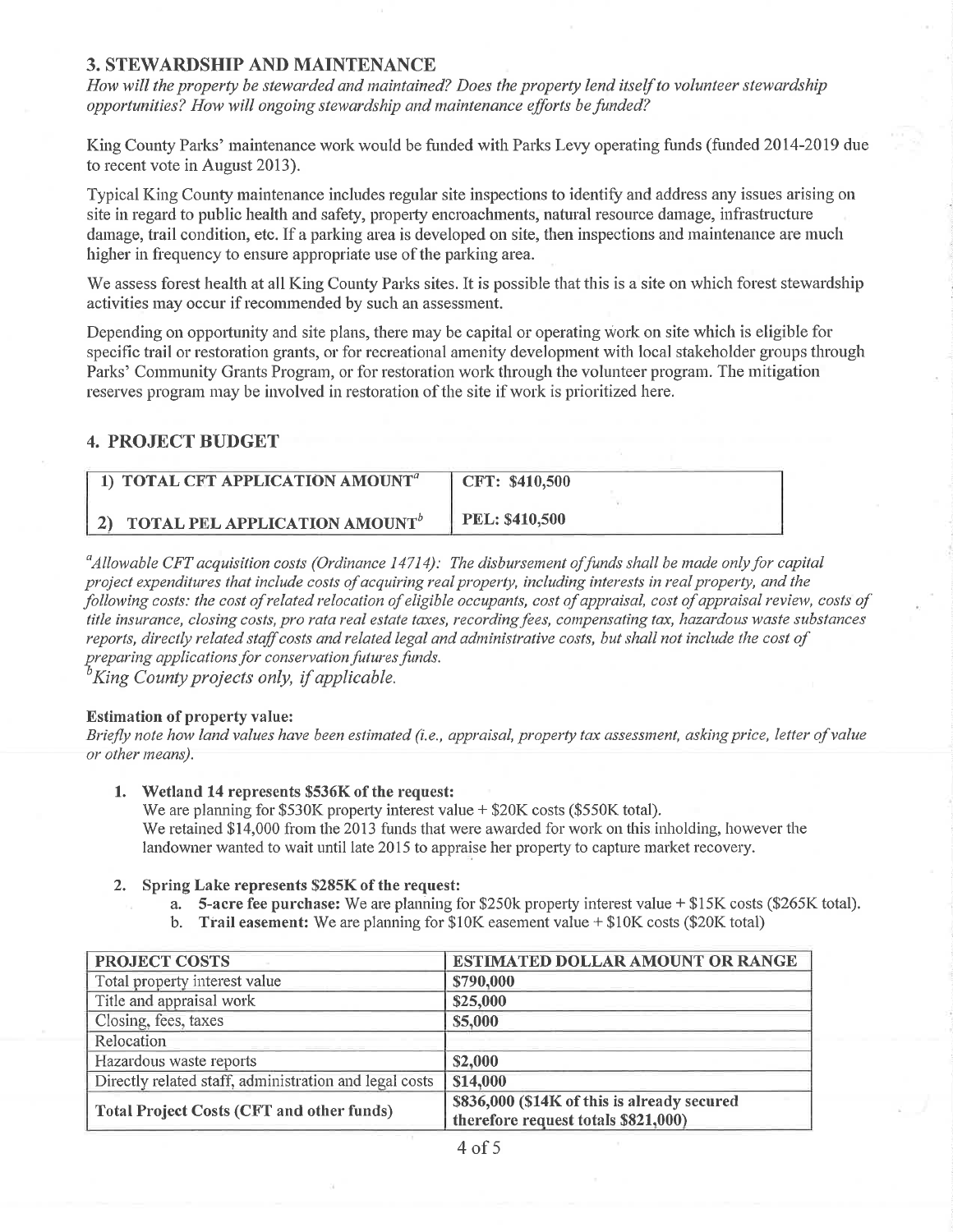### 3. STEWARDSHIP AND MAINTENANCE

How will the property be stewarded and maintained? Does the property lend itself to volunteer stewardship opportunities? How will ongoing stewardship and maintenance efforts be funded?

King County Parks' maintenance work would be funded with Parks Levy operating funds (funded 2014-2019 due to recent vote in August 2013).

Typical King County maintenance includes regular site inspections to identify and address any issues arising on site in regard to public health and safety, property encroachments, natural resource damage, infrastructure damage, trail condition, etc. If a parking area is developed on site, then inspections and maintenance are much higher in frequency to ensure appropriate use of the parking area.

We assess forest health at all King County Parks sites. It is possible that this is a site on which forest stewardship activities may occur if recommended by such an assessment.

Depending on opportunity and site plans, there may be capital or operating work on site which is eligible for specific trail or restoration grants, or for recreational amenity development with local stakeholder groups through Parks' Community Grants Program, or for restoration work through the volunteer program. The mitigation reserves program may be involved in restoration of the site if work is prioritized here.

## 4. PROJECT BUDGET

| 1) TOTAL CFT APPLICATION AMOUNT <sup>a</sup> | CFT: \$410,500        |
|----------------------------------------------|-----------------------|
| 2) TOTAL PEL APPLICATION AMOUNT <sup>b</sup> | <b>PEL: \$410,500</b> |

<sup>a</sup>Allowable CFT acquisition costs (Ordinance 14714): The disbursement of funds shall be made only for capital project expenditures that include costs of acquiring real property, including interests in real property, and the following costs: the cost of related relocation of eligible occupants, cost of appraisal, cost of appraisal review, costs of title insurance, closing costs, pro rata real estate taxes, recording fees, compensating tax, hazardous waste substances reports, directly related staff costs and related legal and administrative costs, but shall not include the cost of preparing applications for conservation futures funds.  $\mathcal{E}'$ King County projects only, if applicable.

#### Estimation of property value:

Briefly note how land values have been estimated (i.e., appraisal, property tax assessment, asking price, letter of value or other means).

1. Wetland 14 represents \$536K of the request:

We are planning for  $$530K$  property interest value  $+ $20K \csc ($550K \text{ total})$ . We retained \$14,000 from the 2013 funds that were awarded for work on this inholding, however the landowner wanted to wait until late 2015 to appraise het property to capture market recovery.

#### 2. Spring Lake represents \$285K of the request:

- a. 5-acre fee purchase: We are planning for \$250k property interest value + \$15K costs (\$265K total).
- b. Trail easement: We are planning for \$10K easement value  $+$  \$10K costs (\$20K total)

| PROJECT COSTS                                          | <b>ESTIMATED DOLLAR AMOUNT OR RANGE</b>     |  |
|--------------------------------------------------------|---------------------------------------------|--|
| Total property interest value                          | \$790,000                                   |  |
| Title and appraisal work                               | \$25,000                                    |  |
| Closing, fees, taxes                                   | \$5,000                                     |  |
| Relocation                                             |                                             |  |
| Hazardous waste reports                                | \$2,000                                     |  |
| Directly related staff, administration and legal costs | \$14,000                                    |  |
| <b>Total Project Costs (CFT and other funds)</b>       | \$836,000 (\$14K of this is already secured |  |
|                                                        | therefore request totals \$821,000)         |  |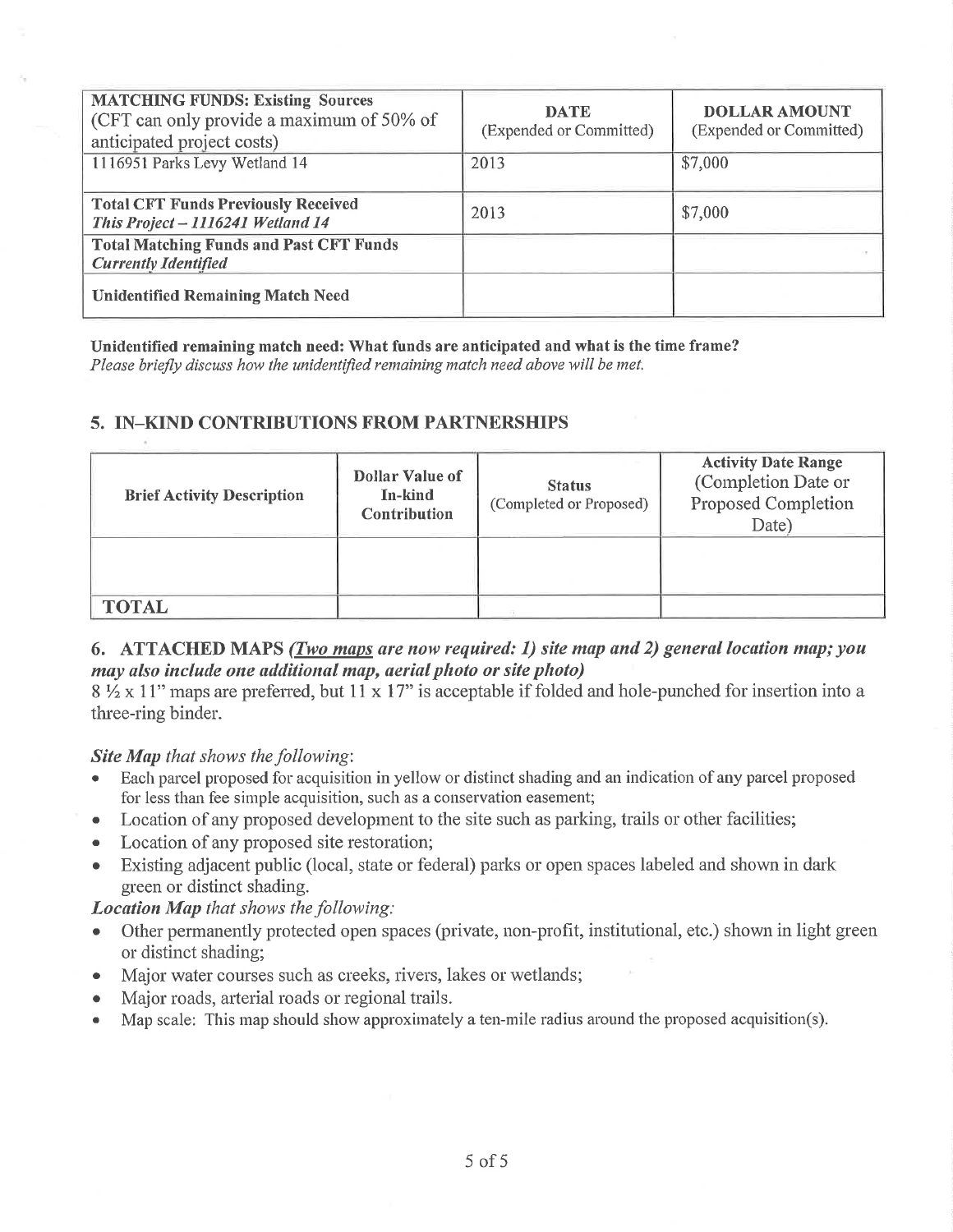| <b>MATCHING FUNDS: Existing Sources</b><br>(CFT can only provide a maximum of 50% of<br>anticipated project costs) | <b>DATE</b><br>(Expended or Committed) | <b>DOLLAR AMOUNT</b><br>(Expended or Committed) |
|--------------------------------------------------------------------------------------------------------------------|----------------------------------------|-------------------------------------------------|
| 1116951 Parks Levy Wetland 14                                                                                      | 2013                                   | \$7,000                                         |
| <b>Total CFT Funds Previously Received</b><br>This Project - 1116241 Wetland 14                                    | 2013                                   | \$7,000                                         |
| <b>Total Matching Funds and Past CFT Funds</b><br><b>Currently Identified</b>                                      |                                        |                                                 |
| <b>Unidentified Remaining Match Need</b>                                                                           |                                        |                                                 |

Unidentified remaining match need: What funds are anticipated and what is the time frame?

Please briefly discuss how the unidentified remaining match need above will be met.

## 5. IN-KIND CONTRIBUTIONS FROM PARTNERSHIPS

| <b>Brief Activity Description</b> | Dollar Value of<br>In-kind<br><b>Contribution</b> | <b>Status</b><br>(Completed or Proposed) | <b>Activity Date Range</b><br>(Completion Date or<br>Proposed Completion<br>Date) |
|-----------------------------------|---------------------------------------------------|------------------------------------------|-----------------------------------------------------------------------------------|
|                                   |                                                   |                                          |                                                                                   |
| <b>TOTAL</b>                      |                                                   |                                          |                                                                                   |

## 6. ATTACHED MAPS (*Two maps are now required: 1*) site map and 2) general location map; you may also include one additional map, aerial photo or site photo)

 $8\frac{1}{2} \times 11$ " maps are preferred, but  $11 \times 17$ " is acceptable if folded and hole-punched for insertion into a three-ring binder.

## **Site Map** that shows the following:

- Each parcel proposed for acquisition in yellow or distinct shading and an indication of any parcel proposed for less than fee simple acquisition, such as a conservation easement;
- Location of any proposed development to the site such as parking, trails or other facilities;  $\bullet$
- Location of any proposed site restoration;  $\bullet$
- Existing adjacent public (local, state or federal) parks or open spaces labeled and shown in dark  $\bullet$ green or distinct shading.

**Location Map** that shows the following:

- Other permanently protected open spaces (private, non-profit, institutional, etc.) shown in light green or distinct shading;
- Major water courses such as creeks, rivers, lakes or wetlands;  $\bullet$
- Major roads, arterial roads or regional trails.  $\bullet$
- Map scale: This map should show approximately a ten-mile radius around the proposed acquisition(s).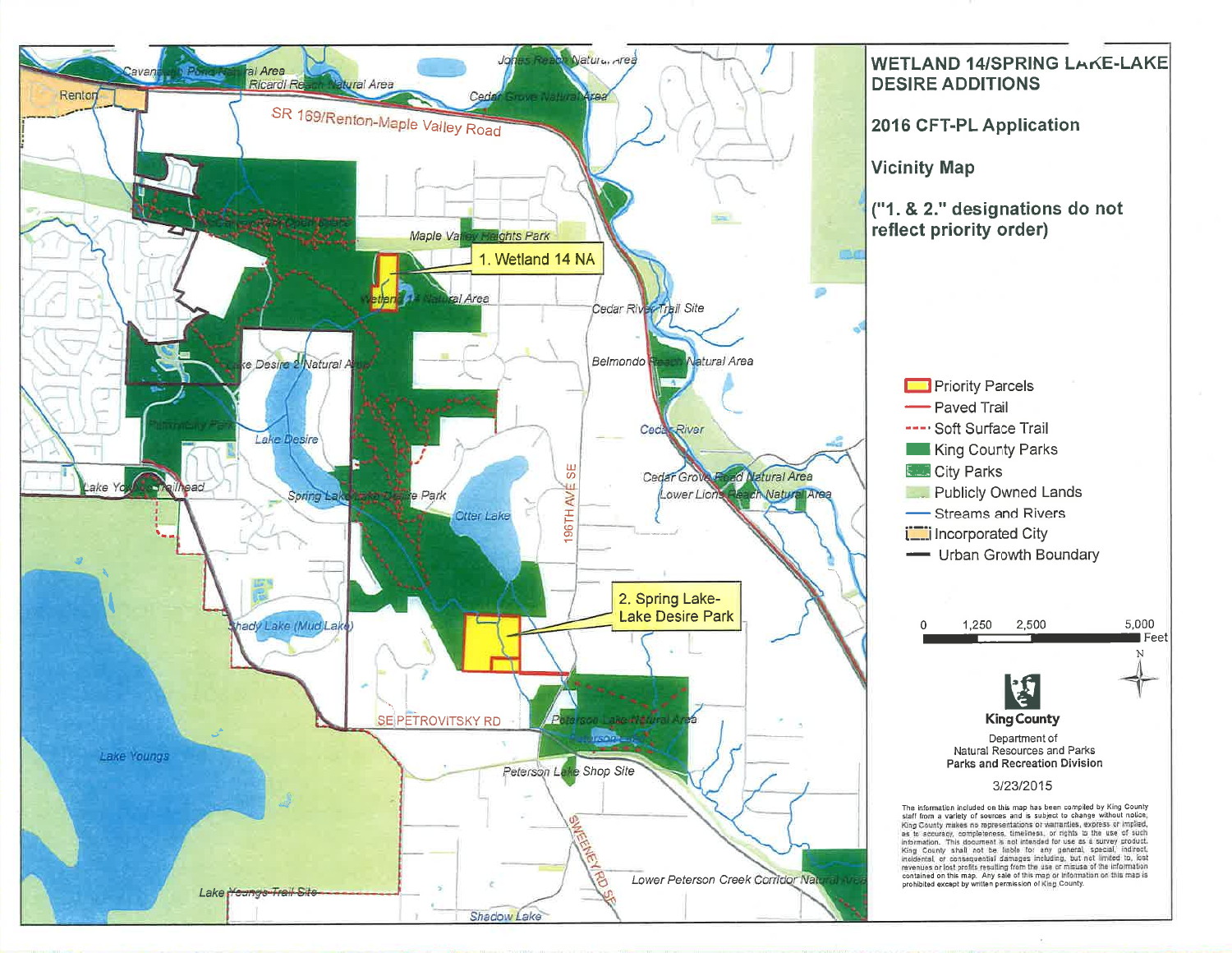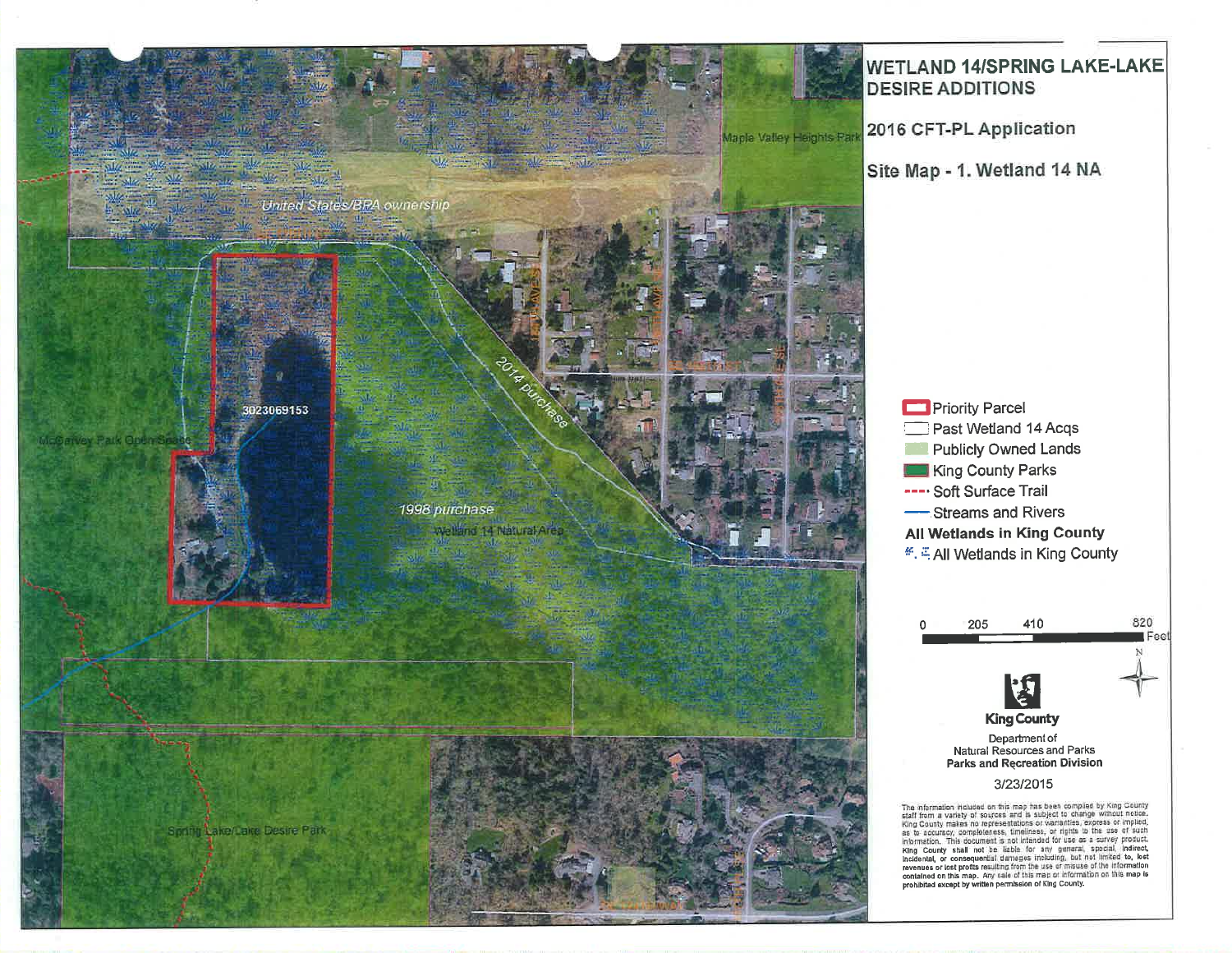

## **WETLAND 14/SPRING LAKE-LAKE DESIRE ADDITIONS**

2016 CFT-PL Application

Site Map - 1. Wetland 14 NA

**Priority Parcel** Past Wetland 14 Acqs **Publicly Owned Lands** King County Parks ---- Soft Surface Trail -Streams and Rivers **All Wetlands in King County** ... E All Wetlands in King County



The information included on this map has been compiled by King County<br>staff from a variety of sources and is subject to change without notice.<br>King County makes no representations or warranties, express or implied.<br>as to